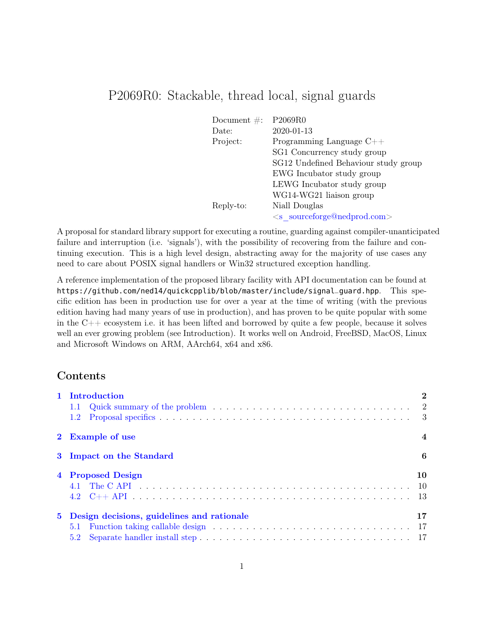# P2069R0: Stackable, thread local, signal guards

| Document $\#$ : | P <sub>2069R0</sub>                  |
|-----------------|--------------------------------------|
| Date:           | 2020-01-13                           |
| Project:        | Programming Language $C++$           |
|                 | SG1 Concurrency study group          |
|                 | SG12 Undefined Behaviour study group |
|                 | EWG Incubator study group            |
|                 | LEWG Incubator study group           |
|                 | WG14-WG21 liaison group              |
| Reply-to:       | Niall Douglas                        |
|                 | $\leq$ s sourceforge@nedprod.com>    |

A proposal for standard library support for executing a routine, guarding against compiler-unanticipated failure and interruption (i.e. 'signals'), with the possibility of recovering from the failure and continuing execution. This is a high level design, abstracting away for the majority of use cases any need to care about POSIX signal handlers or Win32 structured exception handling.

A reference implementation of the proposed library facility with API documentation can be found at https://github.com/ned14/quickcpplib/blob/master/include/signal\_guard.hpp. This specific edition has been in production use for over a year at the time of writing (with the previous edition having had many years of use in production), and has proven to be quite popular with some in the  $C++$  ecosystem i.e. it has been lifted and borrowed by quite a few people, because it solves well an ever growing problem (see Introduction). It works well on Android, FreeBSD, MacOS, Linux and Microsoft Windows on ARM, AArch64, x64 and x86.

## Contents

| 1 Introduction                               | $\bf{2}$       |
|----------------------------------------------|----------------|
|                                              |                |
|                                              |                |
| 2 Example of use                             | $\overline{4}$ |
| 3 Impact on the Standard                     | 6              |
| 4 Proposed Design                            | 10             |
|                                              |                |
|                                              |                |
| 5 Design decisions, guidelines and rationale | 17             |
| 5.1                                          |                |
|                                              |                |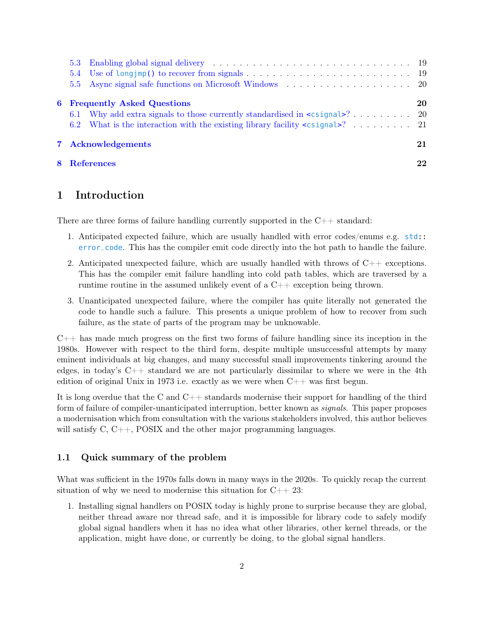|  | 5.3 Enabling global signal delivery expansion of the set of the set of the set of the set of the set of the set of the set of the set of the set of the set of the set of the set of the set of the set of the set of the set |    |
|--|-------------------------------------------------------------------------------------------------------------------------------------------------------------------------------------------------------------------------------|----|
|  |                                                                                                                                                                                                                               |    |
|  |                                                                                                                                                                                                                               |    |
|  | <b>6</b> Frequently Asked Questions                                                                                                                                                                                           | 20 |
|  |                                                                                                                                                                                                                               |    |
|  | 6.2 What is the interaction with the existing library facility <csignal>? 21</csignal>                                                                                                                                        |    |
|  | 7 Acknowledgements                                                                                                                                                                                                            | 21 |
|  | 8 References                                                                                                                                                                                                                  | 22 |

### <span id="page-1-0"></span>1 Introduction

There are three forms of failure handling currently supported in the  $C_{++}$  standard:

- 1. Anticipated expected failure, which are usually handled with error codes/enums e.g. std:: error\_code. This has the compiler emit code directly into the hot path to handle the failure.
- 2. Anticipated unexpected failure, which are usually handled with throws of C++ exceptions. This has the compiler emit failure handling into cold path tables, which are traversed by a runtime routine in the assumed unlikely event of a C++ exception being thrown.
- 3. Unanticipated unexpected failure, where the compiler has quite literally not generated the code to handle such a failure. This presents a unique problem of how to recover from such failure, as the state of parts of the program may be unknowable.

C++ has made much progress on the first two forms of failure handling since its inception in the 1980s. However with respect to the third form, despite multiple unsuccessful attempts by many eminent individuals at big changes, and many successful small improvements tinkering around the edges, in today's  $C_{++}$  standard we are not particularly dissimilar to where we were in the 4th edition of original Unix in 1973 i.e. exactly as we were when  $C_{++}$  was first begun.

It is long overdue that the C and  $C_{++}$  standards modernise their support for handling of the third form of failure of compiler-unanticipated interruption, better known as signals. This paper proposes a modernisation which from consultation with the various stakeholders involved, this author believes will satisfy C, C++, POSIX and the other major programming languages.

#### <span id="page-1-1"></span>1.1 Quick summary of the problem

What was sufficient in the 1970s falls down in many ways in the 2020s. To quickly recap the current situation of why we need to modernise this situation for  $C_{++}$  23:

1. Installing signal handlers on POSIX today is highly prone to surprise because they are global, neither thread aware nor thread safe, and it is impossible for library code to safely modify global signal handlers when it has no idea what other libraries, other kernel threads, or the application, might have done, or currently be doing, to the global signal handlers.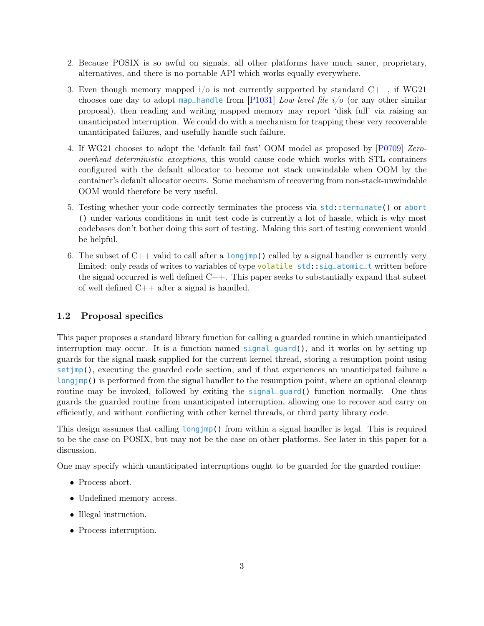- 2. Because POSIX is so awful on signals, all other platforms have much saner, proprietary, alternatives, and there is no portable API which works equally everywhere.
- 3. Even though memory mapped  $i/\sigma$  is not currently supported by standard  $C_{++}$ , if WG21 chooses one day to adopt map\_handle from [\[P1031\]](#page-21-1) Low level file  $i/o$  (or any other similar proposal), then reading and writing mapped memory may report 'disk full' via raising an unanticipated interruption. We could do with a mechanism for trapping these very recoverable unanticipated failures, and usefully handle such failure.
- 4. If WG21 chooses to adopt the 'default fail fast' OOM model as proposed by [\[P0709\]](#page-21-2) Zerooverhead deterministic exceptions, this would cause code which works with STL containers configured with the default allocator to become not stack unwindable when OOM by the container's default allocator occurs. Some mechanism of recovering from non-stack-unwindable OOM would therefore be very useful.
- 5. Testing whether your code correctly terminates the process via std::terminate() or abort () under various conditions in unit test code is currently a lot of hassle, which is why most codebases don't bother doing this sort of testing. Making this sort of testing convenient would be helpful.
- 6. The subset of  $C_{++}$  valid to call after a longjmp() called by a signal handler is currently very limited: only reads of writes to variables of type volatile std::sig\_atomic\_t written before the signal occurred is well defined  $C_{++}$ . This paper seeks to substantially expand that subset of well defined  $C++$  after a signal is handled.

#### <span id="page-2-0"></span>1.2 Proposal specifics

This paper proposes a standard library function for calling a guarded routine in which unanticipated interruption may occur. It is a function named  $signal$ , and it works on by setting up guards for the signal mask supplied for the current kernel thread, storing a resumption point using setjmp(), executing the guarded code section, and if that experiences an unanticipated failure a longjmp() is performed from the signal handler to the resumption point, where an optional cleanup routine may be invoked, followed by exiting the signal\_guard() function normally. One thus guards the guarded routine from unanticipated interruption, allowing one to recover and carry on efficiently, and without conflicting with other kernel threads, or third party library code.

This design assumes that calling longjmp() from within a signal handler is legal. This is required to be the case on POSIX, but may not be the case on other platforms. See later in this paper for a discussion.

One may specify which unanticipated interruptions ought to be guarded for the guarded routine:

- Process abort.
- Undefined memory access.
- Illegal instruction.
- Process interruption.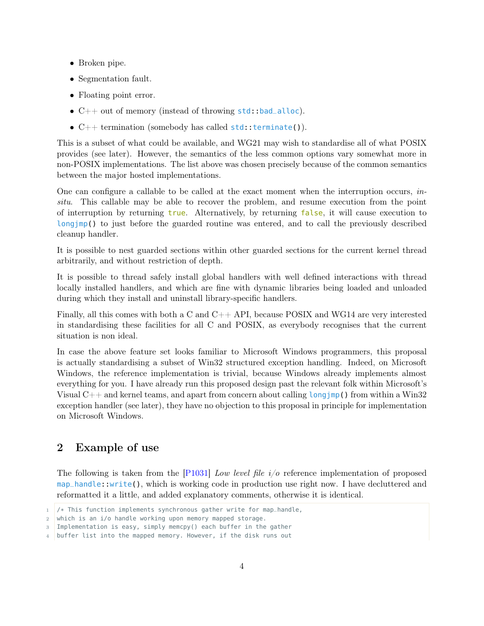- Broken pipe.
- Segmentation fault.
- Floating point error.
- $C++$  out of memory (instead of throwing  $std$ : bad\_alloc).
- $C++$  termination (somebody has called  $std:$ : terminate()).

This is a subset of what could be available, and WG21 may wish to standardise all of what POSIX provides (see later). However, the semantics of the less common options vary somewhat more in non-POSIX implementations. The list above was chosen precisely because of the common semantics between the major hosted implementations.

One can configure a callable to be called at the exact moment when the interruption occurs, insitu. This callable may be able to recover the problem, and resume execution from the point of interruption by returning true. Alternatively, by returning false, it will cause execution to longjmp() to just before the guarded routine was entered, and to call the previously described cleanup handler.

It is possible to nest guarded sections within other guarded sections for the current kernel thread arbitrarily, and without restriction of depth.

It is possible to thread safely install global handlers with well defined interactions with thread locally installed handlers, and which are fine with dynamic libraries being loaded and unloaded during which they install and uninstall library-specific handlers.

Finally, all this comes with both a C and  $C_{++}$  API, because POSIX and WG14 are very interested in standardising these facilities for all C and POSIX, as everybody recognises that the current situation is non ideal.

In case the above feature set looks familiar to Microsoft Windows programmers, this proposal is actually standardising a subset of Win32 structured exception handling. Indeed, on Microsoft Windows, the reference implementation is trivial, because Windows already implements almost everything for you. I have already run this proposed design past the relevant folk within Microsoft's Visual  $C++$  and kernel teams, and apart from concern about calling longjmp() from within a Win32 exception handler (see later), they have no objection to this proposal in principle for implementation on Microsoft Windows.

### <span id="page-3-0"></span>2 Example of use

The following is taken from the [\[P1031\]](#page-21-1) Low level file  $i/\sigma$  reference implementation of proposed map\_handle::write(), which is working code in production use right now. I have decluttered and reformatted it a little, and added explanatory comments, otherwise it is identical.

 $1 / *$  This function implements synchronous gather write for map\_handle,

<sup>2</sup> which is an i/o handle working upon memory mapped storage.

<sup>3</sup> Implementation is easy, simply memcpy() each buffer in the gather

<sup>4</sup> buffer list into the mapped memory. However, if the disk runs out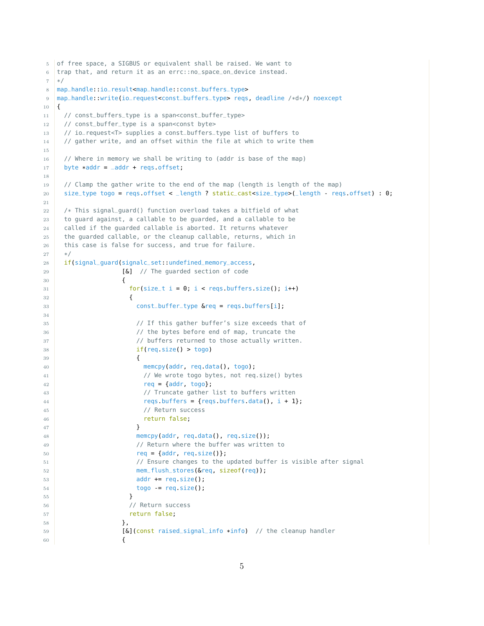```
5 of free space, a SIGBUS or equivalent shall be raised. We want to
6 trap that, and return it as an errc::no_space_on_device instead.
7 */8 map_handle::io_result<map_handle::const_buffers_type>
9 map_handle::write(io_request<const_buffers_type> reqs, deadline /*d*/) noexcept
10 \mid \{11 // const_buffers_type is a span<const_buffer_type>
12 // const_buffer_type is a span<const byte>
13 // io_request<T> supplies a const_buffers_type list of buffers to
14 // gather write, and an offset within the file at which to write them
15
16 // Where in memory we shall be writing to (addr is base of the map)
17 byte *addr = =addr + reqs.offset;
18
19 // Clamp the gather write to the end of the map (length is length of the map)
20 size_type togo = reqs.offset < _length ? static_cast<size_type>(_length - reqs.offset) : 0;
21
22 /* This signal_guard() function overload takes a bitfield of what
23 to guard against, a callable to be guarded, and a callable to be
24 called if the guarded callable is aborted. It returns whatever
25 the guarded callable, or the cleanup callable, returns, which in
26 this case is false for success, and true for failure.
27 */
28 if(signal_guard(signalc_set::undefined_memory_access,
29 [&] // The quarded section of code
30 {
31 for(size_t i = 0; i < reqs.buffers.size(); i++)
32 \left\{33 const_buffer_type &req = reqs.buffers[i];
34
35 // If this gather buffer's size exceeds that of
36 // the bytes before end of map, truncate the
37 // buffers returned to those actually written.
38 if(req.size() > togo)
39 \left\{40 memcpy(addr, req.data(), togo);
41 // We wrote togo bytes, not req.size() bytes
r = \{addr, toq0\};43 // Truncate gather list to buffers written
44 reqs. buffers = {reqs. buffers data(), i + 1};
45 // Return success
46 return false;
47 }
48 memcpy(addr, req.data(), req.size());
49 // Return where the buffer was written to
50 req = {addr, req.size()};
51 // Ensure changes to the updated buffer is visible after signal
52 mem_flush_stores(&req, sizeof(req));
53 addr += req.size();
54 togo -= req.size();
55 }
56 // Return success
57 return false;
\frac{58}{3} },
59 [&](const raised_signal_info *info) // the cleanup handler
60 {
```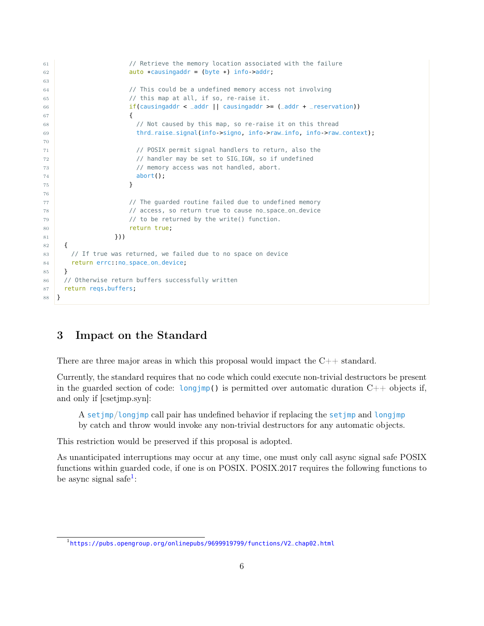```
61 // Retrieve the memory location associated with the failure
62 auto *causingaddr = (byte *) info->addr;
63
64 // This could be a undefined memory access not involving
65 // this map at all, if so, re-raise it.
66 if(causingaddr < _addr || causingaddr >= (_addr + _reservation))
67 \left\{68 // Not caused by this map, so re-raise it on this thread
69 thrd_raise_signal(info->signo, info->raw_info, info->raw_context);
70
71 // POSIX permit signal handlers to return, also the
72 // handler may be set to SIG_IGN, so if undefined
73 // memory access was not handled, abort.
74 abort();
75 }
76
77 // The guarded routine failed due to undefined memory
78 // access, so return true to cause no_space_on_device
79 // to be returned by the write() function.
80 return true:
81 }))
82 {
83 // If true was returned, we failed due to no space on device
84 return errc:: no_space_on_device;
85 }
86 / // Otherwise return buffers successfully written
87 return reqs.buffers;
88 }
```
### <span id="page-5-0"></span>3 Impact on the Standard

There are three major areas in which this proposal would impact the  $C_{++}$  standard.

Currently, the standard requires that no code which could execute non-trivial destructors be present in the guarded section of code: longjmp() is permitted over automatic duration  $C++$  objects if, and only if [csetjmp.syn]:

A setjmp/longjmp call pair has undefined behavior if replacing the setjmp and longjmp by catch and throw would invoke any non-trivial destructors for any automatic objects.

This restriction would be preserved if this proposal is adopted.

As unanticipated interruptions may occur at any time, one must only call async signal safe POSIX functions within guarded code, if one is on POSIX. POSIX.2017 requires the following functions to be async signal safe<sup>[1](#page-5-1)</sup>:

<span id="page-5-1"></span><sup>&</sup>lt;sup>1</sup>[https://pubs.opengroup.org/onlinepubs/9699919799/functions/V2\\_chap02.html](https://pubs.opengroup.org/onlinepubs/9699919799/functions/V2_chap02.html)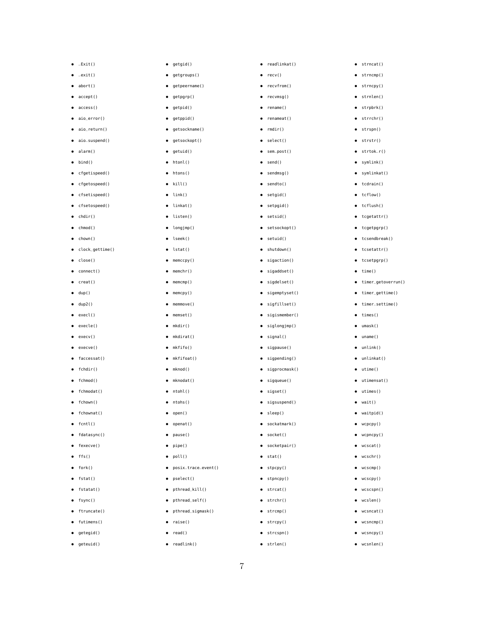• posix\_trace\_event()

• pselect() • pthread\_kill() • pthread\_self() • pthread\_sigmask()

• raise() • read() • readlink()

- 
- geteuid()
- 
- 
- 
- 
- 
- 
- 
- 
- 
- 
- 
- 
- 
- 
- 
- 
- getegid()
- 
- 
- 
- ftruncate() • futimens()
- 
- fsync()
- fstatat()
- fstat()
- $\bullet$  fork()
- 
- $\bullet$  ffs()
- fexecve()
- fdatasync()
- fcntl()
- fchownat()
- 
- fchown()
- fchmodat()
- 
- fchmod()
- fchdir()
- faccessat()
- execve()
- execv()
- execle()
- execl()
- $\bullet$  dup2()
- $\bullet$  dup()
- creat()
- 
- connect()
- close()
- clock\_gettime()
- $\bullet$  chown()
- chmod()
- 
- $\bullet$  chdir()
- cfsetospeed()
- cfsetispeed()
- cfgetospeed()
- cfgetispeed()
- $\bullet$  bind()
- 
- alarm()
- aio\_suspend()
- 
- 
- 
- aio\_return()
- 
- aio\_error()
- 
- accept() • access()

 $\bullet$  \_Exit()  $\bullet$   $\_exit()$ • abort()

• getgid() • getgroups() • getpeername() • getpgrp() • getpid() • getppid() • getsockname() • getsockopt() • getuid() • htonl() • htons() • kill()  $\bullet$  link() • linkat() • listen() • longjmp() • lseek() • lstat() • memccpy() • memchr() • memcmp() • memcpy() • memmove() • memset() • mkdir() • mkdirat() • mkfifo() • mkfifoat() • mknod() • mknodat() • ntohl() • ntohs() • open() • openat() • pause() • pipe() • poll()

• readlinkat() • recv() • recvfrom() • recvmsq() • rename() • renameat() • rmdir() • select() • sem\_post() • send() • sendmsg() • sendto() • setgid() • setpgid() • setsid() • setsockopt() • setuid() • shutdown() • sigaction() • sigaddset() • sigdelset() • sigemptyset() • sigfillset() • sigismember() • siglongjmp() • signal() • sigpause() • sigpending() • sigprocmask() • sigqueue() • sigset() • sigsuspend() • sleep() • sockatmark() • socket() • socketpair() • stat() • stpcpy() • stpncpy() • strcat() • strchr() • strcmp() • strcpy() • strcspn() • strlen()

• strncat() • strncmp() • strncpy() • strnlen() • strpbrk() • strrchr() • strspn() • strstr() • strtok\_r() • symlink() • symlinkat() • tcdrain() • tcflow() • tcflush() • tcgetattr() • tcgetpgrp() • tcsendbreak() • tcsetattr() • tcsetpgrp()  $\bullet$  time()

• timer\_getoverrun() • timer\_gettime() • timer\_settime() • times() • umask() • uname() • unlink() • unlinkat() • utime() • utimensat() • utimes() • wait() • waitpid() • wcpcpy() • wcpncpy() • wcscat() • wcschr() • wcscmp() • wcscpy() • wcscspn() • wcslen() • wcsncat() • wcsncmp() • wcsncpy() • wcsnlen()

- 
- 
- 
- 
- 
- 
- 
- 
- 
- 
- 
- 
- 
- 
- 
- 
- 
- 
- 
- 
- 
-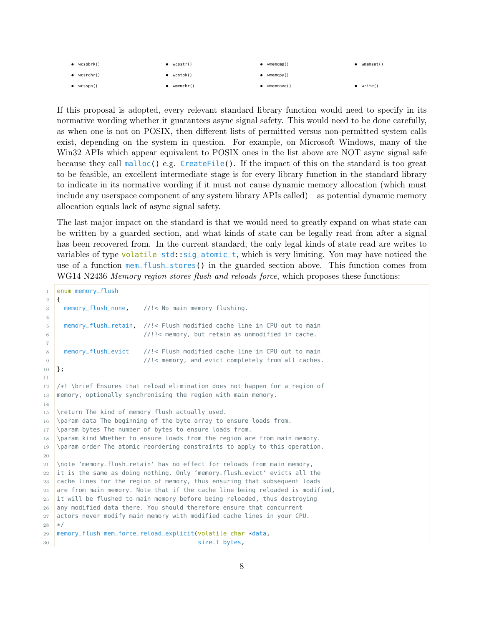| $\bullet$ wcspbrk() | wcsstr()        | wmemcmp()  | wmemset()         |
|---------------------|-----------------|------------|-------------------|
| $\bullet$ wcsrchr() | wcstok()        | wmemcpy()  |                   |
| $\bullet$ wcsspn()  | $w$ memchr $()$ | wmemmove() | $\bullet$ write() |

If this proposal is adopted, every relevant standard library function would need to specify in its normative wording whether it guarantees async signal safety. This would need to be done carefully, as when one is not on POSIX, then different lists of permitted versus non-permitted system calls exist, depending on the system in question. For example, on Microsoft Windows, many of the Win32 APIs which appear equivalent to POSIX ones in the list above are NOT async signal safe because they call malloc() e.g. CreateFile(). If the impact of this on the standard is too great to be feasible, an excellent intermediate stage is for every library function in the standard library to indicate in its normative wording if it must not cause dynamic memory allocation (which must include any userspace component of any system library APIs called) – as potential dynamic memory allocation equals lack of async signal safety.

The last major impact on the standard is that we would need to greatly expand on what state can be written by a guarded section, and what kinds of state can be legally read from after a signal has been recovered from. In the current standard, the only legal kinds of state read are writes to variables of type volatile std::sig\_atomic\_t, which is very limiting. You may have noticed the use of a function mem\_flush\_stores() in the guarded section above. This function comes from WG14 N2436 Memory region stores flush and reloads force, which proposes these functions:

```
1 enum memory_flush
2 \mid \{3 memory_flush_none, //!< No main memory flushing.
4
5 memory_flush_retain, //!< Flush modified cache line in CPU out to main
6 //!!< memory, but retain as unmodified in cache.
7
8 memory_flush_evict //!< Flush modified cache line in CPU out to main
9 //!< memory, and evict completely from all caches.
10 };
11
12 /*! \brief Ensures that reload elimination does not happen for a region of
13 memory, optionally synchronising the region with main memory.
14
15 \return The kind of memory flush actually used.
16 \param data The beginning of the byte array to ensure loads from.
17 \param bytes The number of bytes to ensure loads from.
18 \param kind Whether to ensure loads from the region are from main memory.
19 \param order The atomic reordering constraints to apply to this operation.
20
21 \note 'memory_flush_retain' has no effect for reloads from main memory,
22 it is the same as doing nothing. Only 'memory_flush_evict' evicts all the
23 cache lines for the region of memory, thus ensuring that subsequent loads
24 are from main memory. Note that if the cache line being reloaded is modified,
25 it will be flushed to main memory before being reloaded, thus destroying
26 any modified data there. You should therefore ensure that concurrent
27 actors never modify main memory with modified cache lines in your CPU.
28 */
29 memory_flush mem_force_reload_explicit(volatile char *data,
30 size_t bytes,
```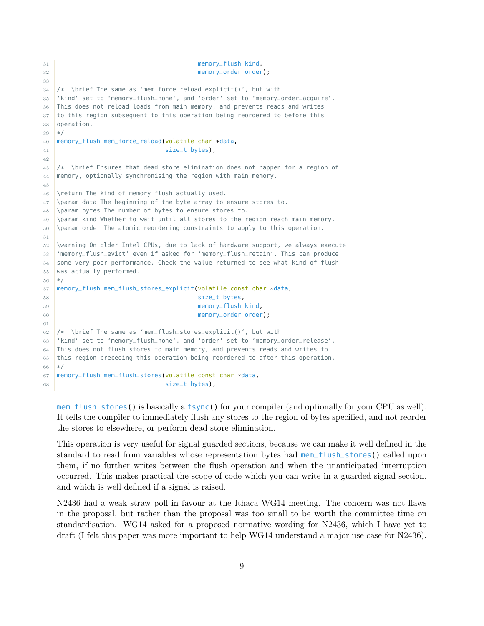```
31 memory_flush kind,
32 memory_order order);
33
34 /*! \brief The same as 'mem_force_reload_explicit()', but with
35 'kind' set to 'memory_flush_none', and 'order' set to 'memory_order_acquire'.
36 This does not reload loads from main memory, and prevents reads and writes
37 to this region subsequent to this operation being reordered to before this
38 operation.
39 */
40 memory_flush mem_force_reload(volatile char *data,
41 size_t bytes);
42
43 /*! \brief Ensures that dead store elimination does not happen for a region of
44 memory, optionally synchronising the region with main memory.
45
46 \return The kind of memory flush actually used.
47 \param data The beginning of the byte array to ensure stores to.
48 \param bytes The number of bytes to ensure stores to.
49 \param kind Whether to wait until all stores to the region reach main memory.
50 \param order The atomic reordering constraints to apply to this operation.
51
52 \warning On older Intel CPUs, due to lack of hardware support, we always execute
53 'memory_flush_evict' even if asked for 'memory_flush_retain'. This can produce
54 some very poor performance. Check the value returned to see what kind of flush
55 was actually performed.
56 */
57 memory_flush mem_flush_stores_explicit(volatile const char *data,
58 size_t bytes,
59 memory_flush kind,
60 memory_order order);
61
62 /*! \brief The same as 'mem_flush_stores_explicit()', but with
63 'kind' set to 'memory_flush_none', and 'order' set to 'memory_order_release'.
64 This does not flush stores to main memory, and prevents reads and writes to
65 this region preceding this operation being reordered to after this operation.
66 */
67 memory_flush mem_flush_stores(volatile const char *data,
68 size_t bytes);
```
mem\_flush\_stores() is basically a fsync() for your compiler (and optionally for your CPU as well). It tells the compiler to immediately flush any stores to the region of bytes specified, and not reorder the stores to elsewhere, or perform dead store elimination.

This operation is very useful for signal guarded sections, because we can make it well defined in the standard to read from variables whose representation bytes had mem\_flush\_stores() called upon them, if no further writes between the flush operation and when the unanticipated interruption occurred. This makes practical the scope of code which you can write in a guarded signal section, and which is well defined if a signal is raised.

N2436 had a weak straw poll in favour at the Ithaca WG14 meeting. The concern was not flaws in the proposal, but rather than the proposal was too small to be worth the committee time on standardisation. WG14 asked for a proposed normative wording for N2436, which I have yet to draft (I felt this paper was more important to help WG14 understand a major use case for N2436).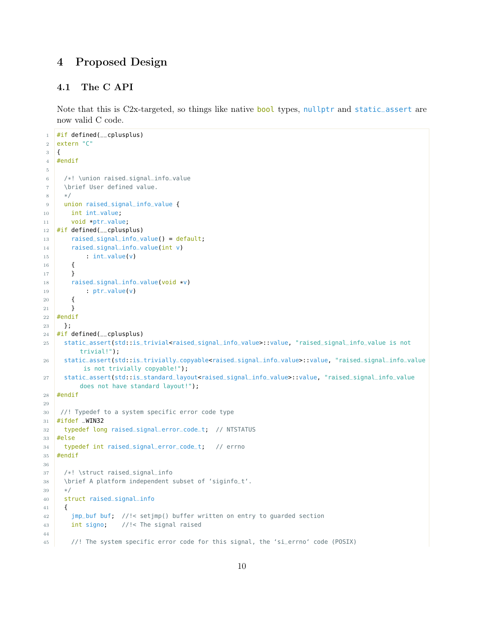## <span id="page-9-0"></span>4 Proposed Design

### <span id="page-9-1"></span>4.1 The C API

Note that this is  $C2x$ -targeted, so things like native bool types, nullptr and static\_assert are now valid C code.

```
1 #if defined(__cplusplus)
2 extern "C"
3 \mid \{4 #endif
5
6 /*! \union raised_signal_info_value
7 \brief User defined value.
8 */
9 union raised_signal_info_value {
10 int int_value;
11 void *ptr_value;
12 #if defined(__cplusplus)
13 raised_signal_info_value() = default;
14 raised_signal_info_value(int v)
15 : int_value(v)
16 {
17 }
18 raised_signal_info_value(void *v)
19 : ptr_value(v)
20 {
21 }
22 #endif
23 };
24 #if defined(__cplusplus)
25 static_assert(std::is_trivial<raised_signal_info_value>::value, "raised_signal_info_value is not
         trivial!");
26 static_assert(std::is_trivially_copyable<raised_signal_info_value>::value, "raised_signal_info_value
          is not trivially copyable!");
27 static_assert(std::is_standard_layout<raised_signal_info_value>::value, "raised_signal_info_value
         does not have standard layout!");
28 #endif
29
30 //! Typedef to a system specific error code type
31 #ifdef _WIN32
32 typedef long raised_signal_error_code_t; // NTSTATUS
33 #else
34 typedef int raised_signal_error_code_t; // errno
35 #endif
36
37 /*! \struct raised_signal_info
38 \brief A platform independent subset of 'siginfo_t'.
39 \times /40 struct raised_signal_info
41 {
42 jmp_buf buf; //!< setjmp() buffer written on entry to guarded section
43 int signo; //!< The signal raised
44
45 //! The system specific error code for this signal, the 'si_errno' code (POSIX)
```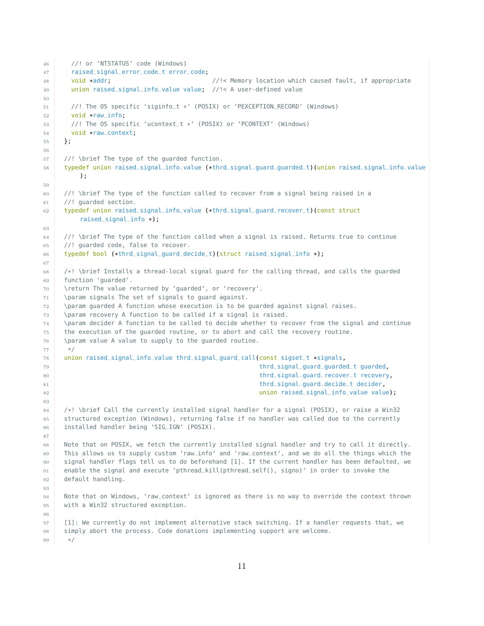```
46 //! or 'NTSTATUS' code (Windows)
47 | raised_signal_error_code_t error_code;
48 void *addr; \frac{1}{48} void *addr; example the set of the set of the set of the set of the set of the set of the set of the set of the set of the set of the set of the set of the set of the set of the set of the set of 
49 union raised_signal_info_value value; //!< A user-defined value
50
51 //! The OS specific 'siginfo_t *' (POSIX) or 'PEXCEPTION_RECORD' (Windows)
52 void *raw_info;
53 //! The OS specific 'ucontext_t *' (POSIX) or 'PCONTEXT' (Windows)
54 void *raw_context;
55 };
56
57 //! \brief The type of the guarded function.
58 typedef union raised_signal_info_value (*thrd_signal_guard_guarded_t)(union raised_signal_info_value
         );
59
60 //! \brief The type of the function called to recover from a signal being raised in a
61 //! guarded section.
62 typedef union raised_signal_info_value (*thrd_signal_guard_recover_t)(const struct
         raised_signal_info *);
63
64 //! \brief The type of the function called when a signal is raised. Returns true to continue
65 //! guarded code, false to recover.
66 typedef bool (*thrd_signal_guard_decide_t)(struct raised_signal_info *);
67
68 /*! \brief Installs a thread-local signal guard for the calling thread, and calls the guarded
69 function 'guarded'.
70 \return The value returned by 'guarded', or 'recovery'.
71 \param signals The set of signals to guard against.
72 \param guarded A function whose execution is to be guarded against signal raises.
73 \param recovery A function to be called if a signal is raised.
74 \param decider A function to be called to decide whether to recover from the signal and continue
75 the execution of the guarded routine, or to abort and call the recovery routine.
76 \param value A value to supply to the quarded routine.
77 */
78 union raised_signal_info_value thrd_signal_guard_call(const sigset_t *signals,
79 thrd_signal_guard_guarded_t guarded,
80 thrd_signal_guard_recover_t recovery,
81 and thrd_signal_guard_decide_t decider,
82 union raised_signal_info_value value);
83
84 /*! \brief Call the currently installed signal handler for a signal (POSIX), or raise a Win32
85 structured exception (Windows), returning false if no handler was called due to the currently
86 installed handler being 'SIG_IGN' (POSIX).
87
88 Note that on POSIX, we fetch the currently installed signal handler and try to call it directly.
89 This allows us to supply custom 'raw_info' and 'raw_context', and we do all the things which the
90 signal handler flags tell us to do beforehand [1]. If the current handler has been defaulted, we
91 enable the signal and execute 'pthread_kill(pthread_self(), signo)' in order to invoke the
92 default handling.
93
94 Note that on Windows, 'raw_context' is ignored as there is no way to override the context thrown
95 with a Win32 structured exception.
96
97 [1]: We currently do not implement alternative stack switching. If a handler requests that, we
98 simply abort the process. Code donations implementing support are welcome.
99 */
```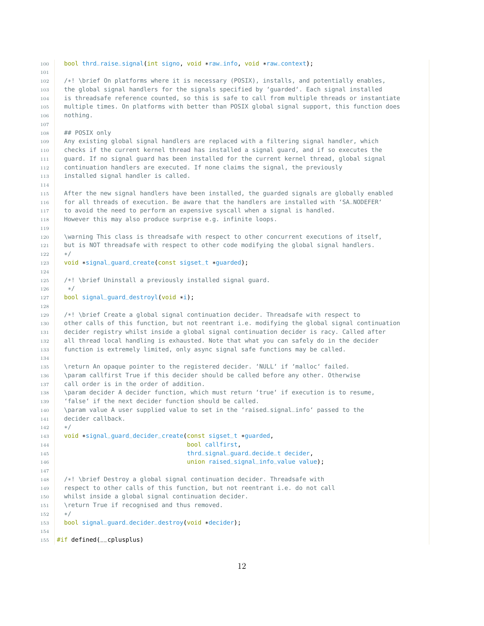**bool** thrd\_raise\_signal(int signo, void \*raw\_info, void \*raw\_context); /\*! \brief On platforms where it is necessary (POSIX), installs, and potentially enables, the global signal handlers for the signals specified by 'guarded'. Each signal installed is threadsafe reference counted, so this is safe to call from multiple threads or instantiate multiple times. On platforms with better than POSIX global signal support, this function does nothing. ## POSIX only Any existing global signal handlers are replaced with a filtering signal handler, which checks if the current kernel thread has installed a signal guard, and if so executes the guard. If no signal guard has been installed for the current kernel thread, global signal continuation handlers are executed. If none claims the signal, the previously 113 installed signal handler is called. After the new signal handlers have been installed, the guarded signals are globally enabled for all threads of execution. Be aware that the handlers are installed with 'SA\_NODEFER' 117 to avoid the need to perform an expensive syscall when a signal is handled. However this may also produce surprise e.g. infinite loops. 120 \warning This class is threadsafe with respect to other concurrent executions of itself, 121 but is NOT threadsafe with respect to other code modifying the global signal handlers. \*/ 123 void \*signal\_guard\_create(const sigset\_t \*guarded); /\*! \brief Uninstall a previously installed signal guard. \*/ 127 bool signal\_quard\_destroyl(void \*i); /\*! \brief Create a global signal continuation decider. Threadsafe with respect to other calls of this function, but not reentrant i.e. modifying the global signal continuation decider registry whilst inside a global signal continuation decider is racy. Called after 132 all thread local handling is exhausted. Note that what you can safely do in the decider function is extremely limited, only async signal safe functions may be called. \return An opaque pointer to the registered decider. 'NULL' if 'malloc' failed. 136 \param callfirst True if this decider should be called before any other. Otherwise 137 call order is in the order of addition. 138 \param decider A decider function, which must return 'true' if execution is to resume, 'false' if the next decider function should be called. \param value A user supplied value to set in the 'raised\_signal\_info' passed to the decider callback.  $142 \times /$  void \*signal\_guard\_decider\_create(const sigset\_t \*guarded, 144 bool callfirst, 145 thrd\_signal\_guard\_decide\_t decider, **union raised\_signal\_info\_value value);**  /\*! \brief Destroy a global signal continuation decider. Threadsafe with 149 respect to other calls of this function, but not reentrant i.e. do not call whilst inside a global signal continuation decider. 151 \return True if recognised and thus removed. \*/ bool signal\_guard\_decider\_destroy(void \*decider); 155 #if defined(\_\_cplusplus)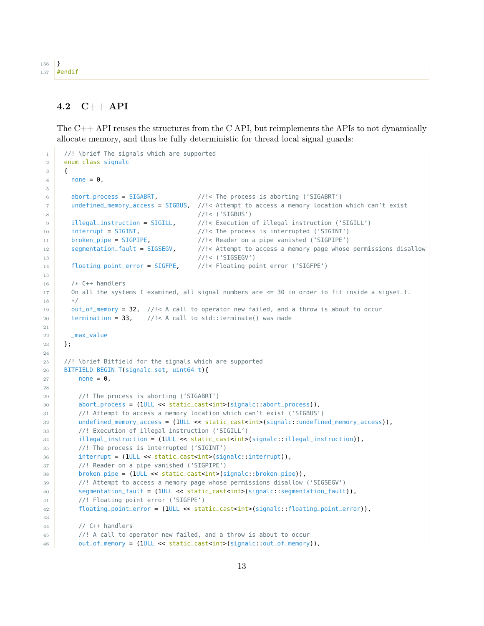```
156 }
157 #endif
```
#### <span id="page-12-0"></span>4.2 C++ API

The  $C++$  API reuses the structures from the C API, but reimplements the APIs to not dynamically allocate memory, and thus be fully deterministic for thread local signal guards:

```
1 /! \brief The signals which are supported
2 enum class signalc
3 {
4 none = 0,5
6 abort_process = SIGABRT, //!< The process is aborting ('SIGABRT')
7 undefined_memory_access = SIGBUS, //!< Attempt to access a memory location which can't exist
8 //!< ('SIGBUS')
9 illegal_instruction = SIGILL, //!< Execution of illegal instruction ('SIGILL')
10 interrupt = SIGINT, \frac{1}{15} //!< The process is interrupted ('SIGINT')
11 \vert broken_pipe = SIGPIPE, \vert//!< Reader on a pipe vanished ('SIGPIPE')
12 segmentation_fault = SIGSEGV, //!< Attempt to access a memory page whose permissions disallow
13 //!< ('SIGSEGV')
14 floating_point_error = SIGFPE, //!< Floating point error ('SIGFPE')
15
16 /* C++ handlers
17 On all the systems I examined, all signal numbers are \leq 30 in order to fit inside a sigset_t.
18 */
19 out_of_memory = 32, //!< A call to operator new failed, and a throw is about to occur
20 termination = 33, \frac{1}{2} //!< A call to std::terminate() was made
21
22 _max_value
23 };
24
25 //! \brief Bitfield for the signals which are supported
26 BITFIELD_BEGIN_T(signalc_set, uint64_t){
27 none = 0,
28
29 //! The process is aborting ('SIGABRT')
30 abort_process = (1ULL << static_cast<int>(signalc::abort_process)),
31 //! Attempt to access a memory location which can't exist ('SIGBUS')
32 undefined_memory_access = (1ULL << static_cast<int>(signalc::undefined_memory_access)),
33 //! Execution of illegal instruction ('SIGILL')
34 illegal_instruction = (1ULL << static_cast<int>(signalc::illegal_instruction)),
35 //! The process is interrupted ('SIGINT')
36 interrupt = (1ULL << static_cast<int>(signalc::interrupt)),
37 //! Reader on a pipe vanished ('SIGPIPE')
38 broken_pipe = (1ULL << static_cast<int>(signalc::broken_pipe)),
39 //! Attempt to access a memory page whose permissions disallow ('SIGSEGV')
40 segmentation_fault = (1ULL << static_cast<int>(signalc::segmentation_fault)),
41 //! Floating point error ('SIGFPE')
42 floating_point_error = (1ULL << static_cast<int>(signalc::floating_point_error)),
43
44 // C++ handlers
45 //! A call to operator new failed, and a throw is about to occur
46 out_of_memory = (1ULL << static_cast<int>(signalc::out_of_memory)),
```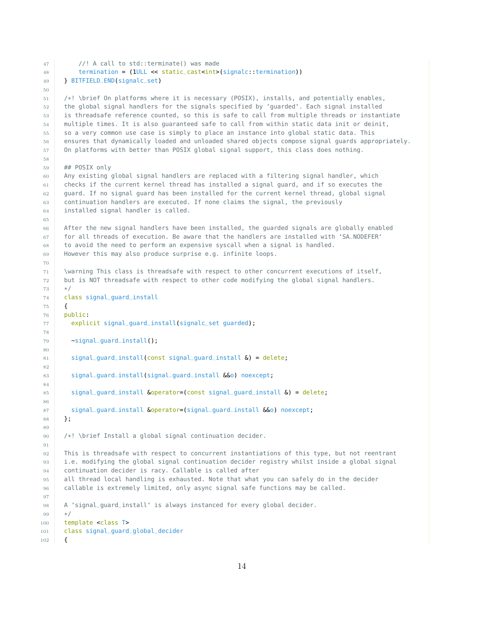```
47 //! A call to std::terminate() was made
48 termination = (1ULL << static_cast<int>(signalc::termination))
49 } BITFIELD_END(signalc_set)
50
51 /*! \brief On platforms where it is necessary (POSIX), installs, and potentially enables,
52 the global signal handlers for the signals specified by 'guarded'. Each signal installed
53 is threadsafe reference counted, so this is safe to call from multiple threads or instantiate
54 multiple times. It is also guaranteed safe to call from within static data init or deinit,
55 so a very common use case is simply to place an instance into global static data. This
56 ensures that dynamically loaded and unloaded shared objects compose signal guards appropriately.
57 On platforms with better than POSIX global signal support, this class does nothing.
58
59 ## POSIX only
60 Any existing global signal handlers are replaced with a filtering signal handler, which
61 checks if the current kernel thread has installed a signal guard, and if so executes the
62 guard. If no signal guard has been installed for the current kernel thread, global signal
63 continuation handlers are executed. If none claims the signal, the previously
64 installed signal handler is called.
65
66 After the new signal handlers have been installed, the guarded signals are globally enabled
67 for all threads of execution. Be aware that the handlers are installed with 'SA_NODEFER'
68 to avoid the need to perform an expensive syscall when a signal is handled.
69 However this may also produce surprise e.g. infinite loops.
70
71 \warning This class is threadsafe with respect to other concurrent executions of itself,
72 but is NOT threadsafe with respect to other code modifying the global signal handlers.
73 */
74 class signal_guard_install
75 {
76 public:
77 explicit signal_quard_install(signalc_set quarded);
78
79 \simsignal_quard_install();
80
81 signal_quard_install(const signal_quard_install \delta) = delete;
82
83 signal_guard_install(signal_guard_install \&0) noexcept;
84
85 signal_guard_install &operator=(const signal_guard_install &) = delete;
86
87 signal_guard_install &operator=(signal_guard_install &&o) noexcept;
88 };
89
90 /*! \brief Install a global signal continuation decider.
91
92 This is threadsafe with respect to concurrent instantiations of this type, but not reentrant
93 i.e. modifying the global signal continuation decider registry whilst inside a global signal
94 continuation decider is racy. Callable is called after
95 all thread local handling is exhausted. Note that what you can safely do in the decider
96 callable is extremely limited, only async signal safe functions may be called.
97
98 A 'signal_guard_install' is always instanced for every global decider.
99 */
100 template <class T>
101 class signal_guard_global_decider
102 {
```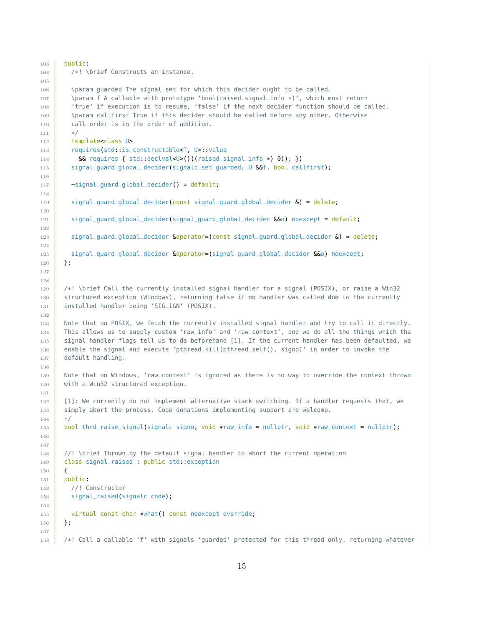```
103 public:
104 /*! \brief Constructs an instance.
105
106 \param guarded The signal set for which this decider ought to be called.
107 \param f A callable with prototype 'bool(raised_signal_info *)', which must return
108 'true' if execution is to resume, 'false' if the next decider function should be called.
109 \param callfirst True if this decider should be called before any other. Otherwise
110 call order is in the order of addition.
111 */
112 template<class U>
113 requires(std::is_constructible<T, U>::value
114 && requires { std::declval<U>()((raised_signal_info *) 0)); })
115 signal_quard_global_decider(signalc_set quarded, U &&f, bool callfirst);
116
117 -signal_quard_global_decider() = default;
118
119 signal_guard_global_decider(const signal_guard_global_decider &) = delete;
120
121 signal_guard_global_decider(signal_guard_global_decider &&o) noexcept = default;
122
123 signal_guard_global_decider &operator=(const signal_guard_global_decider &) = delete;
124
125 signal_guard_global_decider &operator=(signal_guard_global_decider &&o) noexcept;
126 };
127
128
129 /*! \brief Call the currently installed signal handler for a signal (POSIX), or raise a Win32
130 structured exception (Windows), returning false if no handler was called due to the currently
131 installed handler being 'SIG_IGN' (POSIX).
132
133 Note that on POSIX, we fetch the currently installed signal handler and try to call it directly.
134 This allows us to supply custom 'raw_info' and 'raw_context', and we do all the things which the
135 signal handler flags tell us to do beforehand [1]. If the current handler has been defaulted, we
136 enable the signal and execute 'pthread_kill(pthread_self(), signo)' in order to invoke the
137 default handling.
138
139 Note that on Windows, 'raw_context' is ignored as there is no way to override the context thrown
140 with a Win32 structured exception.
141
142 [1]: We currently do not implement alternative stack switching. If a handler requests that, we
143 simply abort the process. Code donations implementing support are welcome.
144 */
145 bool thrd_raise_signal(signalc signo, void *raw_info = nullptr, void *raw_context = nullptr);
146
147
148 //! \brief Thrown by the default signal handler to abort the current operation
149 class signal_raised : public std::exception
150 {
151 public:
152 //! Constructor
153 signal_raised(signalc code);
154
155 virtual const char *what() const noexcept override;
156 };
157
158 /*! Call a callable 'f' with signals 'guarded' protected for this thread only, returning whatever
```

```
15
```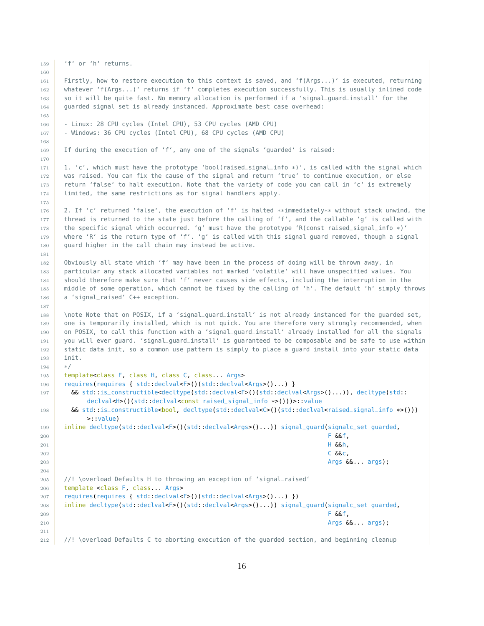```
159 'f' or 'h' returns.
160
161 Firstly, how to restore execution to this context is saved, and 'f(Args...)' is executed, returning
162 whatever 'f(Args...)' returns if 'f' completes execution successfully. This is usually inlined code
163 so it will be quite fast. No memory allocation is performed if a 'signal_guard_install' for the
164 guarded signal set is already instanced. Approximate best case overhead:
165
166 - Linux: 28 CPU cycles (Intel CPU), 53 CPU cycles (AMD CPU)
167 - Windows: 36 CPU cycles (Intel CPU), 68 CPU cycles (AMD CPU)
168
169 If during the execution of 'f', any one of the signals 'guarded' is raised:
170
171 1. 'c', which must have the prototype 'bool(raised_signal_info *)', is called with the signal which
172 | was raised. You can fix the cause of the signal and return 'true' to continue execution, or else
173 return 'false' to halt execution. Note that the variety of code you can call in 'c' is extremely
174 limited, the same restrictions as for signal handlers apply.
175
176 2. If 'c' returned 'false', the execution of 'f' is halted **immediately** without stack unwind, the
177 thread is returned to the state just before the calling of 'f', and the callable 'g' is called with
178 the specific signal which occurred. 'q' must have the prototype 'R(const raised_signal_info *)'
179 where 'R' is the return type of 'f'. 'g' is called with this signal guard removed, though a signal
180 guard higher in the call chain may instead be active.
181
182 Obviously all state which 'f' may have been in the process of doing will be thrown away, in
183 particular any stack allocated variables not marked 'volatile' will have unspecified values. You
184 should therefore make sure that 'f' never causes side effects, including the interruption in the
185 middle of some operation, which cannot be fixed by the calling of 'h'. The default 'h' simply throws
186 a 'signal_raised' C++ exception.
187
188 \note Note that on POSIX, if a 'signal_guard_install' is not already instanced for the guarded set,
189 one is temporarily installed, which is not quick. You are therefore very strongly recommended, when
190 on POSIX, to call this function with a 'signal_guard_install' already installed for all the signals
191 you will ever guard. 'signal_guard_install' is guaranteed to be composable and be safe to use within
192 static data init, so a common use pattern is simply to place a guard install into your static data
193 init.
194 */
195 template<class F, class H, class C, class... Args>
196 requires(requires { std::declval<F>()(std::declval<Args>()...) }
197 && std::is_constructible<decltype(std::declval<F>()(std::declval<Args>()...)), decltype(std::
           declval<H>()(std::declval<const raised_signal_info *>()))>::value
198 6& std::is_constructible<bool, decltype(std::declval<C>()(std::declval<raised_signal_info *>()))
           >::value)
199 inline decltype(std::declval<F>()(std::declval<Args>()...)) signal_guard(signalc_set guarded,
200 F \&f, \&f, \&f, \&201 H &&h,
202 C \&c, \&c, \&c203 \overline{ \text{Arg } \text{66}}... args);
204
205 //! \overload Defaults H to throwing an exception of 'signal_raised'
206 template <class F, class... Args>
207 requires(requires { std::declval<F>()(std::declval<Args>()...) })
208 inline decltype(std::declval<F>()(std::declval<Args>()...)) signal_guard(signalc_set guarded,
209 F \delta\delta f,
210 Args &&... args);
211
212 //! \overload Defaults C to aborting execution of the guarded section, and beginning cleanup
```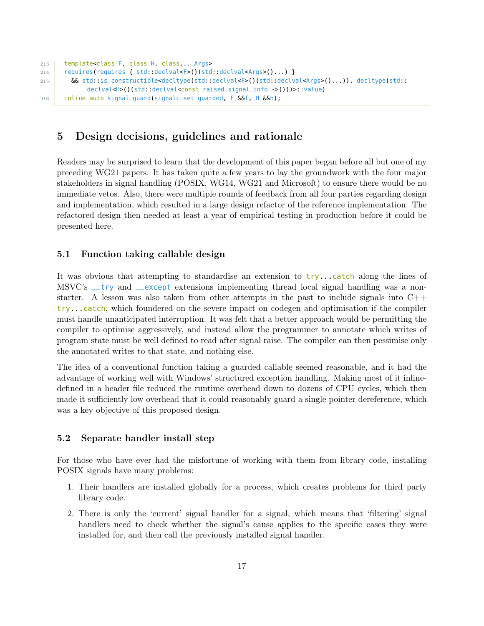```
213 template<class F, class H, class... Args>
214 requires(requires { std::declval<F>()(std::declval<Args>()...) }
215 && std::is_constructible<decltype(std::declval<F>()(std::declval<Args>()...)), decltype(std::
            declval<H>()(std::declval<const raised_signal_info *>()))>::value)
216 inline auto signal_guard(signalc_set guarded, F &&f, H &&h);
```
### <span id="page-16-0"></span>5 Design decisions, guidelines and rationale

Readers may be surprised to learn that the development of this paper began before all but one of my preceding WG21 papers. It has taken quite a few years to lay the groundwork with the four major stakeholders in signal handling (POSIX, WG14, WG21 and Microsoft) to ensure there would be no immediate vetos. Also, there were multiple rounds of feedback from all four parties regarding design and implementation, which resulted in a large design refactor of the reference implementation. The refactored design then needed at least a year of empirical testing in production before it could be presented here.

#### <span id="page-16-1"></span>5.1 Function taking callable design

It was obvious that attempting to standardise an extension to try...catch along the lines of MSVC's \_\_try and \_\_except extensions implementing thread local signal handling was a nonstarter. A lesson was also taken from other attempts in the past to include signals into  $C_{++}$ try...catch, which foundered on the severe impact on codegen and optimisation if the compiler must handle unanticipated interruption. It was felt that a better approach would be permitting the compiler to optimise aggressively, and instead allow the programmer to annotate which writes of program state must be well defined to read after signal raise. The compiler can then pessimise only the annotated writes to that state, and nothing else.

The idea of a conventional function taking a guarded callable seemed reasonable, and it had the advantage of working well with Windows' structured exception handling. Making most of it inlinedefined in a header file reduced the runtime overhead down to dozens of CPU cycles, which then made it sufficiently low overhead that it could reasonably guard a single pointer dereference, which was a key objective of this proposed design.

#### <span id="page-16-2"></span>5.2 Separate handler install step

For those who have ever had the misfortune of working with them from library code, installing POSIX signals have many problems:

- 1. Their handlers are installed globally for a process, which creates problems for third party library code.
- 2. There is only the 'current' signal handler for a signal, which means that 'filtering' signal handlers need to check whether the signal's cause applies to the specific cases they were installed for, and then call the previously installed signal handler.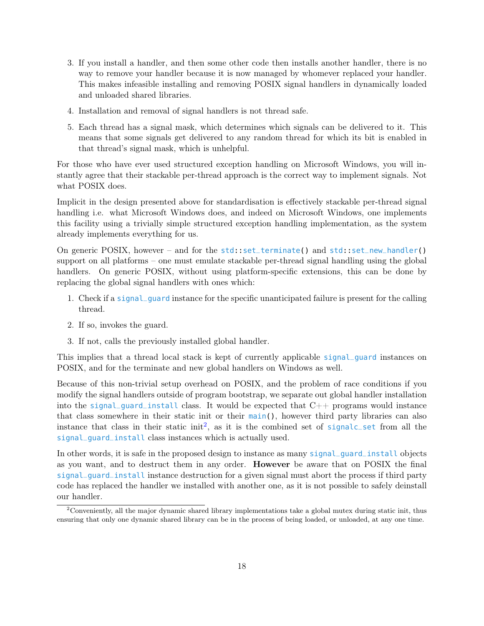- 3. If you install a handler, and then some other code then installs another handler, there is no way to remove your handler because it is now managed by whomever replaced your handler. This makes infeasible installing and removing POSIX signal handlers in dynamically loaded and unloaded shared libraries.
- 4. Installation and removal of signal handlers is not thread safe.
- 5. Each thread has a signal mask, which determines which signals can be delivered to it. This means that some signals get delivered to any random thread for which its bit is enabled in that thread's signal mask, which is unhelpful.

For those who have ever used structured exception handling on Microsoft Windows, you will instantly agree that their stackable per-thread approach is the correct way to implement signals. Not what POSIX does.

Implicit in the design presented above for standardisation is effectively stackable per-thread signal handling i.e. what Microsoft Windows does, and indeed on Microsoft Windows, one implements this facility using a trivially simple structured exception handling implementation, as the system already implements everything for us.

On generic POSIX, however – and for the std::set\_terminate() and std::set\_new\_handler() support on all platforms – one must emulate stackable per-thread signal handling using the global handlers. On generic POSIX, without using platform-specific extensions, this can be done by replacing the global signal handlers with ones which:

- 1. Check if a signal\_guard instance for the specific unanticipated failure is present for the calling thread.
- 2. If so, invokes the guard.
- 3. If not, calls the previously installed global handler.

This implies that a thread local stack is kept of currently applicable signal\_guard instances on POSIX, and for the terminate and new global handlers on Windows as well.

Because of this non-trivial setup overhead on POSIX, and the problem of race conditions if you modify the signal handlers outside of program bootstrap, we separate out global handler installation into the signal\_guard\_install class. It would be expected that  $C++$  programs would instance that class somewhere in their static init or their main(), however third party libraries can also instance that class in their static  $\text{init}^2$  $\text{init}^2$ , as it is the combined set of signalc\_set from all the signal\_guard\_install class instances which is actually used.

In other words, it is safe in the proposed design to instance as many signal\_guard\_install objects as you want, and to destruct them in any order. However be aware that on POSIX the final signal\_guard\_install instance destruction for a given signal must abort the process if third party code has replaced the handler we installed with another one, as it is not possible to safely deinstall our handler.

<span id="page-17-0"></span><sup>&</sup>lt;sup>2</sup>Conveniently, all the major dynamic shared library implementations take a global mutex during static init, thus ensuring that only one dynamic shared library can be in the process of being loaded, or unloaded, at any one time.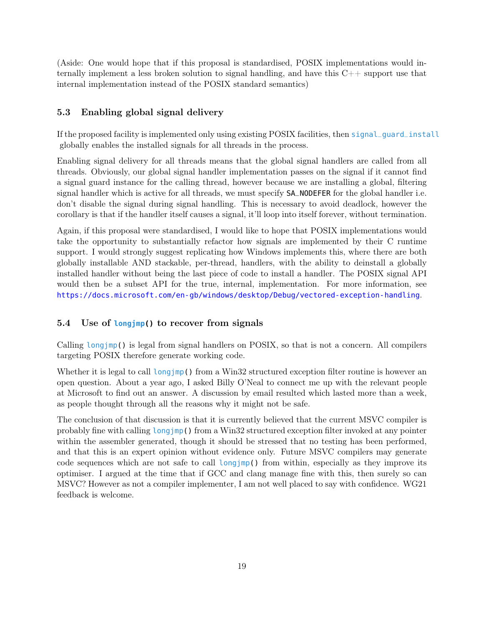(Aside: One would hope that if this proposal is standardised, POSIX implementations would internally implement a less broken solution to signal handling, and have this  $C++$  support use that internal implementation instead of the POSIX standard semantics)

#### <span id="page-18-0"></span>5.3 Enabling global signal delivery

If the proposed facility is implemented only using existing POSIX facilities, then signal\_guard\_install globally enables the installed signals for all threads in the process.

Enabling signal delivery for all threads means that the global signal handlers are called from all threads. Obviously, our global signal handler implementation passes on the signal if it cannot find a signal guard instance for the calling thread, however because we are installing a global, filtering signal handler which is active for all threads, we must specify SA\_NODEFER for the global handler i.e. don't disable the signal during signal handling. This is necessary to avoid deadlock, however the corollary is that if the handler itself causes a signal, it'll loop into itself forever, without termination.

Again, if this proposal were standardised, I would like to hope that POSIX implementations would take the opportunity to substantially refactor how signals are implemented by their C runtime support. I would strongly suggest replicating how Windows implements this, where there are both globally installable AND stackable, per-thread, handlers, with the ability to deinstall a globally installed handler without being the last piece of code to install a handler. The POSIX signal API would then be a subset API for the true, internal, implementation. For more information, see <https://docs.microsoft.com/en-gb/windows/desktop/Debug/vectored-exception-handling>.

#### <span id="page-18-1"></span>5.4 Use of **longjmp()** to recover from signals

Calling longjmp() is legal from signal handlers on POSIX, so that is not a concern. All compilers targeting POSIX therefore generate working code.

Whether it is legal to call longjmp() from a Win32 structured exception filter routine is however an open question. About a year ago, I asked Billy O'Neal to connect me up with the relevant people at Microsoft to find out an answer. A discussion by email resulted which lasted more than a week, as people thought through all the reasons why it might not be safe.

The conclusion of that discussion is that it is currently believed that the current MSVC compiler is probably fine with calling longjmp() from a Win32 structured exception filter invoked at any pointer within the assembler generated, though it should be stressed that no testing has been performed, and that this is an expert opinion without evidence only. Future MSVC compilers may generate code sequences which are not safe to call longjmp() from within, especially as they improve its optimiser. I argued at the time that if GCC and clang manage fine with this, then surely so can MSVC? However as not a compiler implementer, I am not well placed to say with confidence. WG21 feedback is welcome.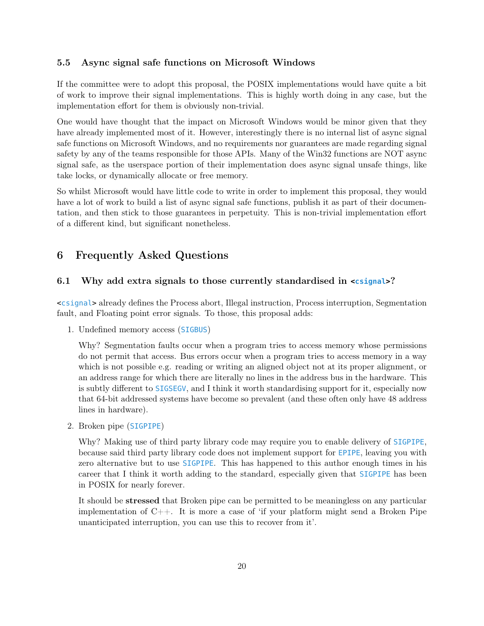#### <span id="page-19-0"></span>5.5 Async signal safe functions on Microsoft Windows

If the committee were to adopt this proposal, the POSIX implementations would have quite a bit of work to improve their signal implementations. This is highly worth doing in any case, but the implementation effort for them is obviously non-trivial.

One would have thought that the impact on Microsoft Windows would be minor given that they have already implemented most of it. However, interestingly there is no internal list of async signal safe functions on Microsoft Windows, and no requirements nor guarantees are made regarding signal safety by any of the teams responsible for those APIs. Many of the Win32 functions are NOT async signal safe, as the userspace portion of their implementation does async signal unsafe things, like take locks, or dynamically allocate or free memory.

So whilst Microsoft would have little code to write in order to implement this proposal, they would have a lot of work to build a list of async signal safe functions, publish it as part of their documentation, and then stick to those guarantees in perpetuity. This is non-trivial implementation effort of a different kind, but significant nonetheless.

### <span id="page-19-1"></span>6 Frequently Asked Questions

#### <span id="page-19-2"></span>6.1 Why add extra signals to those currently standardised in **<csignal>**?

<csignal> already defines the Process abort, Illegal instruction, Process interruption, Segmentation fault, and Floating point error signals. To those, this proposal adds:

1. Undefined memory access (SIGBUS)

Why? Segmentation faults occur when a program tries to access memory whose permissions do not permit that access. Bus errors occur when a program tries to access memory in a way which is not possible e.g. reading or writing an aligned object not at its proper alignment, or an address range for which there are literally no lines in the address bus in the hardware. This is subtly different to SIGSEGV, and I think it worth standardising support for it, especially now that 64-bit addressed systems have become so prevalent (and these often only have 48 address lines in hardware).

2. Broken pipe (SIGPIPE)

Why? Making use of third party library code may require you to enable delivery of SIGPIPE, because said third party library code does not implement support for EPIPE, leaving you with zero alternative but to use SIGPIPE. This has happened to this author enough times in his career that I think it worth adding to the standard, especially given that SIGPIPE has been in POSIX for nearly forever.

It should be stressed that Broken pipe can be permitted to be meaningless on any particular implementation of  $C_{++}$ . It is more a case of 'if your platform might send a Broken Pipe unanticipated interruption, you can use this to recover from it'.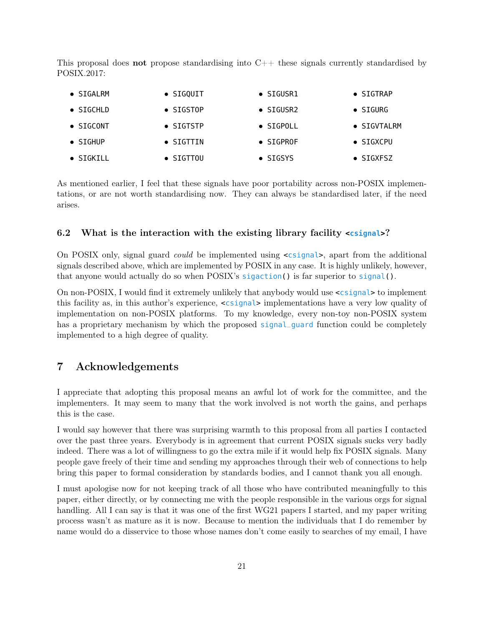This proposal does **not** propose standardising into  $C++$  these signals currently standardised by POSIX.2017:

| $\bullet$ SIGALRM | $\bullet$ SIGQUIT | $\bullet$ SIGUSR1 | $\bullet$ SIGTRAP   |
|-------------------|-------------------|-------------------|---------------------|
| $\bullet$ SIGCHLD | $\bullet$ SIGSTOP | $\bullet$ SIGUSR2 | $\bullet$ SIGURG    |
| $\bullet$ SIGCONT | $\bullet$ SIGTSTP | $\bullet$ SIGPOLL | $\bullet$ SIGVTALRM |
| $\bullet$ SIGHUP  | $\bullet$ SIGTTIN | $\bullet$ SIGPROF | $\bullet$ SIGXCPU   |
| $\bullet$ SIGKILL | $\bullet$ SIGTTOU | $\bullet$ SIGSYS  | $\bullet$ SIGXFSZ   |
|                   |                   |                   |                     |

As mentioned earlier, I feel that these signals have poor portability across non-POSIX implementations, or are not worth standardising now. They can always be standardised later, if the need arises.

#### <span id="page-20-0"></span>6.2 What is the interaction with the existing library facility **<csignal>**?

On POSIX only, signal guard could be implemented using <csignal>, apart from the additional signals described above, which are implemented by POSIX in any case. It is highly unlikely, however, that anyone would actually do so when POSIX's sigaction() is far superior to signal().

On non-POSIX, I would find it extremely unlikely that anybody would use <csignal> to implement this facility as, in this author's experience, <csignal> implementations have a very low quality of implementation on non-POSIX platforms. To my knowledge, every non-toy non-POSIX system has a proprietary mechanism by which the proposed signal\_guard function could be completely implemented to a high degree of quality.

### <span id="page-20-1"></span>7 Acknowledgements

I appreciate that adopting this proposal means an awful lot of work for the committee, and the implementers. It may seem to many that the work involved is not worth the gains, and perhaps this is the case.

I would say however that there was surprising warmth to this proposal from all parties I contacted over the past three years. Everybody is in agreement that current POSIX signals sucks very badly indeed. There was a lot of willingness to go the extra mile if it would help fix POSIX signals. Many people gave freely of their time and sending my approaches through their web of connections to help bring this paper to formal consideration by standards bodies, and I cannot thank you all enough.

I must apologise now for not keeping track of all those who have contributed meaningfully to this paper, either directly, or by connecting me with the people responsible in the various orgs for signal handling. All I can say is that it was one of the first WG21 papers I started, and my paper writing process wasn't as mature as it is now. Because to mention the individuals that I do remember by name would do a disservice to those whose names don't come easily to searches of my email, I have